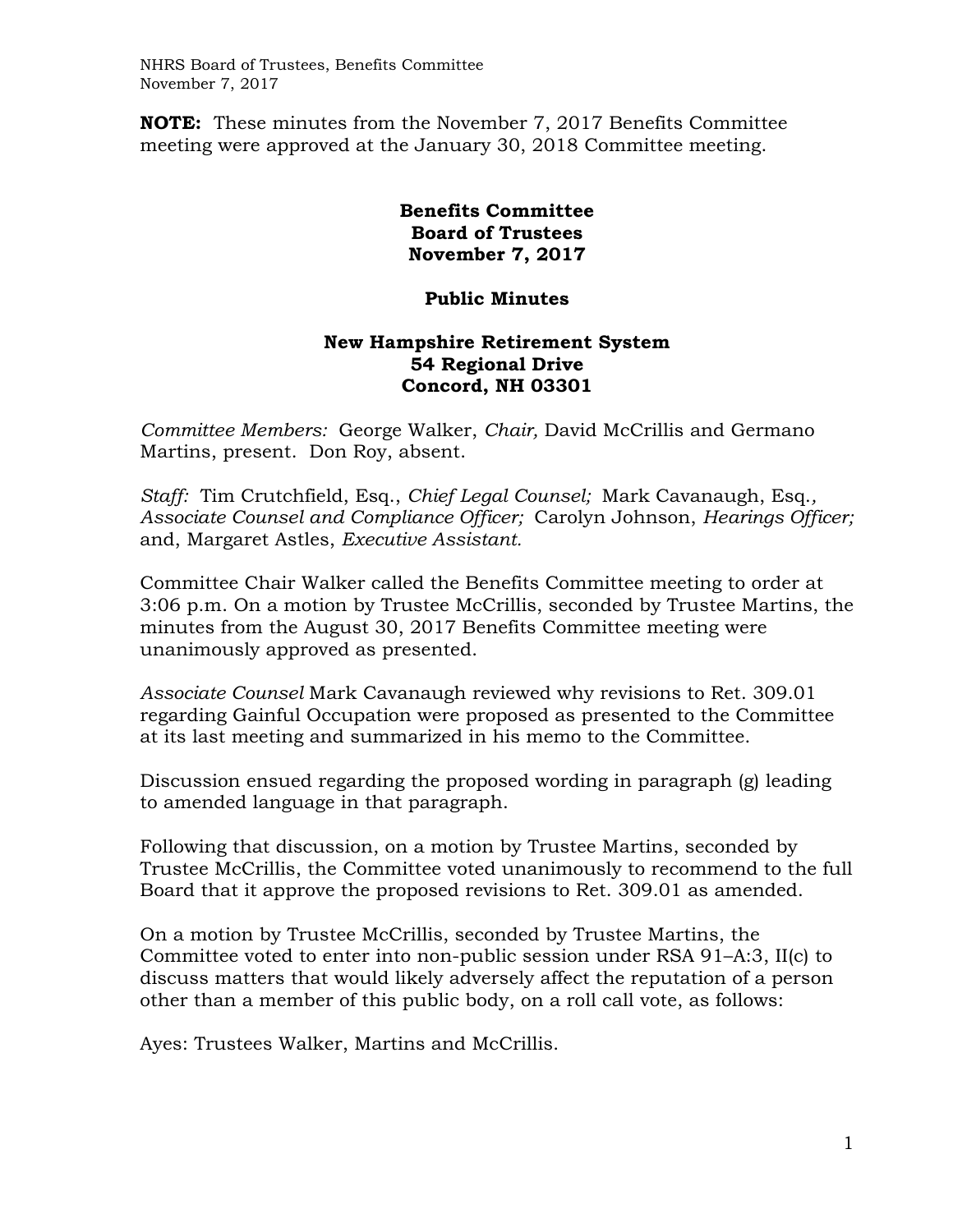NHRS Board of Trustees, Benefits Committee November 7, 2017

**NOTE:** These minutes from the November 7, 2017 Benefits Committee meeting were approved at the January 30, 2018 Committee meeting.

## **Benefits Committee Board of Trustees November 7, 2017**

## **Public Minutes**

## **New Hampshire Retirement System 54 Regional Drive Concord, NH 03301**

*Committee Members:* George Walker, *Chair,* David McCrillis and Germano Martins, present. Don Roy, absent.

*Staff:* Tim Crutchfield, Esq., *Chief Legal Counsel;* Mark Cavanaugh, Esq.*, Associate Counsel and Compliance Officer;* Carolyn Johnson, *Hearings Officer;*  and, Margaret Astles, *Executive Assistant.*

Committee Chair Walker called the Benefits Committee meeting to order at 3:06 p.m. On a motion by Trustee McCrillis, seconded by Trustee Martins, the minutes from the August 30, 2017 Benefits Committee meeting were unanimously approved as presented.

*Associate Counsel* Mark Cavanaugh reviewed why revisions to Ret. 309.01 regarding Gainful Occupation were proposed as presented to the Committee at its last meeting and summarized in his memo to the Committee.

Discussion ensued regarding the proposed wording in paragraph (g) leading to amended language in that paragraph.

Following that discussion, on a motion by Trustee Martins, seconded by Trustee McCrillis, the Committee voted unanimously to recommend to the full Board that it approve the proposed revisions to Ret. 309.01 as amended.

On a motion by Trustee McCrillis, seconded by Trustee Martins, the Committee voted to enter into non-public session under RSA 91–A:3, II(c) to discuss matters that would likely adversely affect the reputation of a person other than a member of this public body, on a roll call vote, as follows:

Ayes: Trustees Walker, Martins and McCrillis.